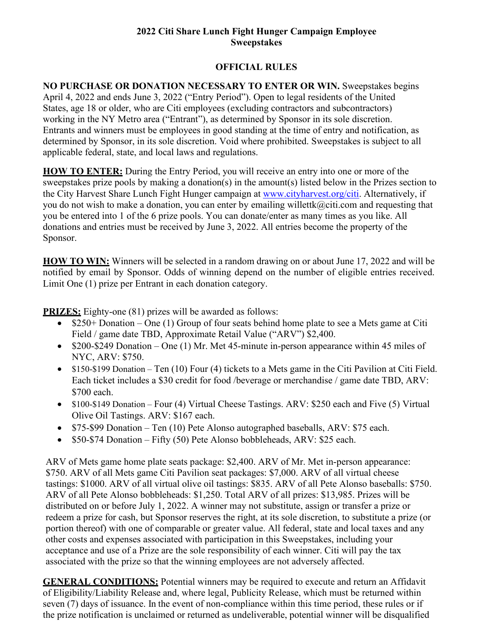## **2022 Citi Share Lunch Fight Hunger Campaign Employee Sweepstakes**

## **OFFICIAL RULES**

**NO PURCHASE OR DONATION NECESSARY TO ENTER OR WIN.** Sweepstakes begins April 4, 2022 and ends June 3, 2022 ("Entry Period"). Open to legal residents of the United States, age 18 or older, who are Citi employees (excluding contractors and subcontractors) working in the NY Metro area ("Entrant"), as determined by Sponsor in its sole discretion. Entrants and winners must be employees in good standing at the time of entry and notification, as determined by Sponsor, in its sole discretion. Void where prohibited. Sweepstakes is subject to all applicable federal, state, and local laws and regulations.

**HOW TO ENTER:** During the Entry Period, you will receive an entry into one or more of the sweepstakes prize pools by making a donation(s) in the amount(s) listed below in the Prizes section to the City Harvest Share Lunch Fight Hunger campaign at [www.cityharvest.org/citi.](http://www.cityharvest.org/citi) Alternatively, if you do not wish to make a donation, you can enter by emailing [willettk@citi.com a](mailto:willettk@citi.com)nd requesting that you be entered into 1 of the 6 prize pools. You can donate/enter as many times as you like. All donations and entries must be received by June 3, 2022. All entries become the property of the Sponsor.

**HOW TO WIN:** Winners will be selected in a random drawing on or about June 17, 2022 and will be notified by email by Sponsor. Odds of winning depend on the number of eligible entries received. Limit One (1) prize per Entrant in each donation category.

**PRIZES:** Eighty-one (81) prizes will be awarded as follows:

- \$250+ Donation One (1) Group of four seats behind home plate to see a Mets game at Citi Field / game date TBD, Approximate Retail Value ("ARV") \$2,400.
- \$200-\$249 Donation One (1) Mr. Met 45-minute in-person appearance within 45 miles of NYC, ARV: \$750.
- \$150-\$199 Donation Ten (10) Four (4) tickets to a Mets game in the Citi Pavilion at Citi Field. Each ticket includes a \$30 credit for food /beverage or merchandise / game date TBD, ARV: \$700 each.
- \$100-\$149 Donation Four (4) Virtual Cheese Tastings. ARV: \$250 each and Five (5) Virtual Olive Oil Tastings. ARV: \$167 each.
- \$75-\$99 Donation Ten (10) Pete Alonso autographed baseballs, ARV: \$75 each.
- \$50-\$74 Donation Fifty (50) Pete Alonso bobbleheads, ARV: \$25 each.

ARV of Mets game home plate seats package: \$2,400. ARV of Mr. Met in-person appearance: \$750. ARV of all Mets game Citi Pavilion seat packages: \$7,000. ARV of all virtual cheese tastings: \$1000. ARV of all virtual olive oil tastings: \$835. ARV of all Pete Alonso baseballs: \$750. ARV of all Pete Alonso bobbleheads: \$1,250. Total ARV of all prizes: \$13,985. Prizes will be distributed on or before July 1, 2022. A winner may not substitute, assign or transfer a prize or redeem a prize for cash, but Sponsor reserves the right, at its sole discretion, to substitute a prize (or portion thereof) with one of comparable or greater value. All federal, state and local taxes and any other costs and expenses associated with participation in this Sweepstakes, including your acceptance and use of a Prize are the sole responsibility of each winner. Citi will pay the tax associated with the prize so that the winning employees are not adversely affected.

**GENERAL CONDITIONS:** Potential winners may be required to execute and return an Affidavit of Eligibility/Liability Release and, where legal, Publicity Release, which must be returned within seven (7) days of issuance. In the event of non-compliance within this time period, these rules or if the prize notification is unclaimed or returned as undeliverable, potential winner will be disqualified